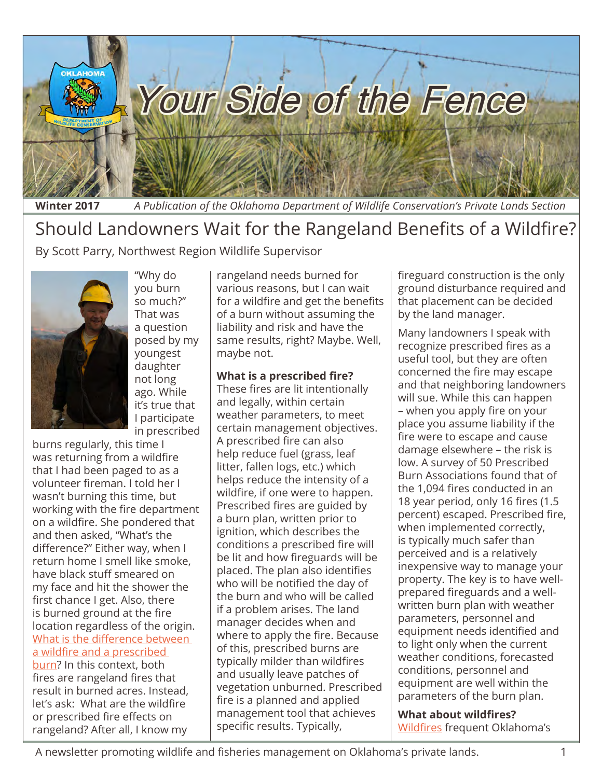

**Winter 2017** *A Publication of the Oklahoma Department of Wildlife Conservation's Private Lands Section*

## Should Landowners Wait for the Rangeland Benefits of a Wildfire?

By Scott Parry, Northwest Region Wildlife Supervisor



"Why do you burn so much?" That was a question posed by my youngest daughter not long ago. While it's true that I participate in prescribed

burns regularly, this time I was returning from a wildfire that I had been paged to as a volunteer fireman. I told her I wasn't burning this time, but working with the fire department on a wildfire. She pondered that and then asked, "What's the difference?" Either way, when I return home I smell like smoke, have black stuff smeared on my face and hit the shower the first chance I get. Also, there is burned ground at the fire location regardless of the origin. [What is the difference between](http://www.southernfireexchange.org/SFE_Publications/factsheets/2012-6.pdf)  [a wildfire and a prescribed](http://www.southernfireexchange.org/SFE_Publications/factsheets/2012-6.pdf)  [burn?](http://www.southernfireexchange.org/SFE_Publications/factsheets/2012-6.pdf) In this context, both fires are rangeland fires that result in burned acres. Instead, let's ask: What are the wildfire or prescribed fire effects on rangeland? After all, I know my

rangeland needs burned for various reasons, but I can wait for a wildfire and get the benefits of a burn without assuming the liability and risk and have the same results, right? Maybe. Well, maybe not.

#### **What is a prescribed fire?**

These fires are lit intentionally and legally, within certain weather parameters, to meet certain management objectives. A prescribed fire can also help reduce fuel (grass, leaf litter, fallen logs, etc.) which helps reduce the intensity of a wildfire, if one were to happen. Prescribed fires are guided by a burn plan, written prior to ignition, which describes the conditions a prescribed fire will be lit and how fireguards will be placed. The plan also identifies who will be notified the day of the burn and who will be called if a problem arises. The land manager decides when and where to apply the fire. Because of this, prescribed burns are typically milder than wildfires and usually leave patches of vegetation unburned. Prescribed fire is a planned and applied management tool that achieves specific results. Typically,

fireguard construction is the only ground disturbance required and that placement can be decided by the land manager.

Many landowners I speak with recognize prescribed fires as a useful tool, but they are often concerned the fire may escape and that neighboring landowners will sue. While this can happen – when you apply fire on your place you assume liability if the fire were to escape and cause damage elsewhere – [the risk is](http://www.okrangelandswest.okstate.edu/files/fire%2520ecology%2520pdfs/L-321.pdf)  [low.](http://www.okrangelandswest.okstate.edu/files/fire%2520ecology%2520pdfs/L-321.pdf) A survey of 50 Prescribed Burn Associations found that of the 1,094 fires conducted in an 18 year period, [only 16 fires \(1.5](http://www.ncsu-feop.org/RxFire/communications/PBA%2520_Survey_paper.pdf)  [percent\) escaped.](http://www.ncsu-feop.org/RxFire/communications/PBA%2520_Survey_paper.pdf) Prescribed fire, when implemented correctly, is typically much safer than perceived and is a relatively inexpensive way to manage your property. The key is to have wellprepared fireguards and a wellwritten burn plan with weather parameters, personnel and equipment needs identified and to light only when the current weather conditions, forecasted conditions, personnel and equipment are well within the parameters of the burn plan.

**What about wildfires?**  [Wildfires](https://www.ok.gov/conservation/documents/WildfiresinOklahoma.pdf) frequent Oklahoma's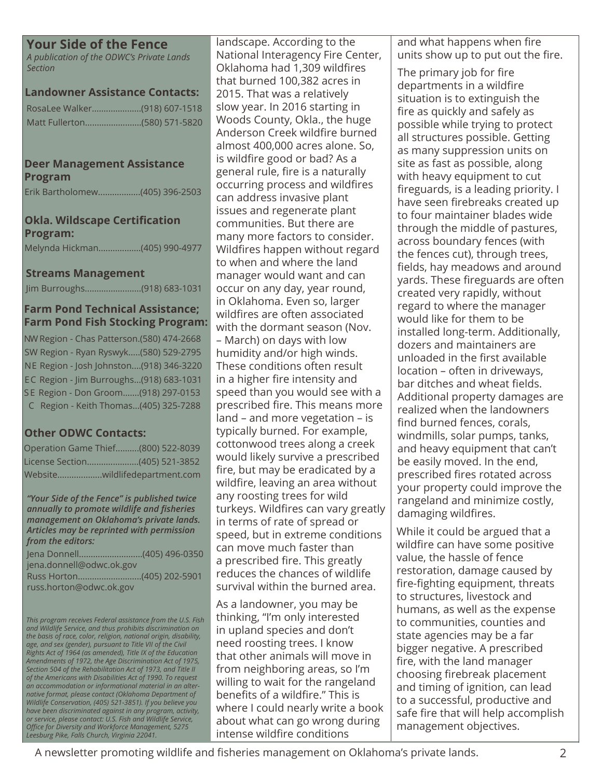## **Your Side of the Fence**

*A publication of the ODWC's Private Lands Section*

#### **Landowner Assistance Contacts:**

#### **Deer Management Assistance Program**

Erik Bartholomew..................(405) 396-2503

### **Okla. Wildscape Certification Program:**

Melynda Hickman..................(405) 990-4977

#### **Streams Management**

Jim Burroughs........................(918) 683-1031

## **Farm Pond Technical Assistance; Farm Pond Fish Stocking Program:**

NW Region - Chas Patterson.(580) 474-2668 SW Region - Ryan Ryswyk.....(580) 529-2795 NE Region - Josh Johnston....(918) 346-3220 EC Region - Jim Burroughs...(918) 683-1031 S E Region - Don Groom.......(918) 297-0153 C Region - Keith Thomas...(405) 325-7288

## **Other ODWC Contacts:**

| Operation Game Thief(800) 522-8039 |
|------------------------------------|
| License Section(405) 521-3852      |
| Websitewildlifedepartment.com      |

*"Your Side of the Fence" is published twice annually to promote wildlife and fisheries management on Oklahoma's private lands. Articles may be reprinted with permission from the editors:*

| Jena Donnell(405) 496-0350 |  |
|----------------------------|--|
| jena.donnell@odwc.ok.gov   |  |
|                            |  |
| russ.horton@odwc.ok.gov    |  |

*This program receives Federal assistance from the U.S. Fish and Wildlife Service, and thus prohibits discrimination on the basis of race, color, religion, national origin, disability, age, and sex (gender), pursuant to Title VII of the Civil Rights Act of 1964 (as amended), Title IX of the Education Amendments of 1972, the Age Discrimination Act of 1975, Section 504 of the Rehabilitation Act of 1973, and Title II of the Americans with Disabilities Act of 1990. To request an accommodation or informational material in an alternative format, please contact (Oklahoma Department of Wildlife Conservation, (405) 521-3851). If you believe you have been discriminated against in any program, activity, or service, please contact: U.S. Fish and Wildlife Service, Office for Diversity and Workforce Management, 5275 Leesburg Pike, Falls Church, Virginia 22041.*

landscape. According to the National Interagency Fire Center, Oklahoma had 1,309 wildfires that burned 100,382 acres in 2015. That was a relatively slow year. In 2016 starting in Woods County, Okla., the huge Anderson Creek wildfire burned almost 400,000 acres alone. So, is wildfire good or bad? As a general rule, fire is a naturally occurring process and wildfires can address invasive plant issues and regenerate plant communities. But there are many more factors to consider. Wildfires happen without regard to when and where the land manager would want and can occur on any day, year round, in Oklahoma. Even so, larger wildfires are often associated with the dormant season (Nov.

– March) on days with low humidity and/or high winds. These conditions often result in a higher fire intensity and speed than you would see with a prescribed fire. This means more land – and more vegetation – is typically burned. For example, cottonwood trees along a creek would likely survive a prescribed fire, but may be eradicated by a wildfire, leaving an area without any roosting trees for wild turkeys. Wildfires can vary greatly in terms of rate of spread or speed, but in extreme conditions can move much faster than a prescribed fire. This greatly reduces the chances of wildlife survival within the burned area.

As a landowner, you may be thinking, "I'm only interested in upland species and don't need roosting trees. I know that other animals will move in from neighboring areas, so I'm willing to wait for the rangeland benefits of a wildfire." This is where I could nearly write a book about what can go wrong during intense wildfire conditions

and what happens when fire units show up to put out the fire.

The primary job for fire departments in a wildfire situation is to extinguish the fire as quickly and safely as possible while trying to protect all structures possible. Getting as many suppression units on site as fast as possible, along with heavy equipment to cut fireguards, is a leading priority. I have seen firebreaks created up to four maintainer blades wide through the middle of pastures, across boundary fences (with the fences cut), through trees, fields, hay meadows and around yards. These fireguards are often created very rapidly, without regard to where the manager would like for them to be installed long-term. Additionally, dozers and maintainers are unloaded in the first available location – often in driveways, bar ditches and wheat fields. Additional property damages are realized when the landowners find burned fences, corals, windmills, solar pumps, tanks, and heavy equipment that can't be easily moved. In the end, prescribed fires rotated across your property could improve the rangeland and minimize costly, damaging wildfires.

While it could be argued that a wildfire can have some positive value, the hassle of fence restoration, damage caused by fire-fighting equipment, threats to structures, livestock and humans, as well as the expense to communities, counties and state agencies may be a far bigger negative. A prescribed fire, with the land manager choosing firebreak placement and timing of ignition, can lead to a successful, productive and safe fire that will help accomplish management objectives.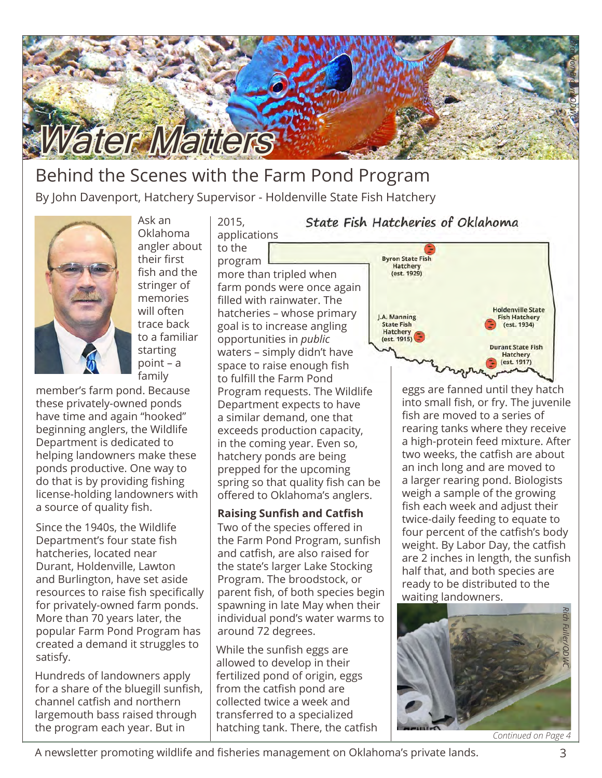

## Behind the Scenes with the Farm Pond Program By John Davenport, Hatchery Supervisor - Holdenville State Fish Hatchery



Ask an Oklahoma angler about their first fish and the stringer of memories will often trace back to a familiar starting point – a family

member's farm pond. Because these privately-owned ponds have time and again "hooked" beginning anglers, the Wildlife Department is dedicated to helping landowners make these ponds productive. One way to do that is by providing fishing license-holding landowners with a source of quality fish.

Since the 1940s, the Wildlife Department's four state fish hatcheries, located near Durant, Holdenville, Lawton and Burlington, have set aside resources to raise fish specifically for privately-owned farm ponds. More than 70 years later, the popular Farm Pond Program has created a demand it struggles to satisfy.

Hundreds of landowners apply for a share of the bluegill sunfish, channel catfish and northern largemouth bass raised through the program each year. But in

2015, applications to the

program

more than tripled when farm ponds were once again filled with rainwater. The hatcheries – whose primary goal is to increase angling opportunities in *public* waters – simply didn't have space to raise enough fish to fulfill the Farm Pond Program requests. The Wildlife Department expects to have a similar demand, one that exceeds production capacity, in the coming year. Even so, hatchery ponds are being prepped for the upcoming spring so that quality fish can be offered to Oklahoma's anglers.

Two of the species offered in the Farm Pond Program, sunfish and catfish, are also raised for the state's larger Lake Stocking Program. The broodstock, or parent fish, of both species begin spawning in late May when their individual pond's water warms to around 72 degrees. **Raising Sunfish and Catfish**

While the sunfish eggs are allowed to develop in their fertilized pond of origin, eggs from the catfish pond are collected twice a week and transferred to a specialized hatching tank. There, the catfish



State Fish Hatcheries of Oklahoma

eggs are fanned until they hatch into small fish, or fry. The juvenile fish are moved to a series of rearing tanks where they receive a high-protein feed mixture. After two weeks, the catfish are about an inch long and are moved to a larger rearing pond. Biologists weigh a sample of the growing fish each week and adjust their twice-daily feeding to equate to four percent of the catfish's body weight. By Labor Day, the catfish are 2 inches in length, the sunfish half that, and both species are ready to be distributed to the waiting landowners.



A newsletter promoting wildlife and fisheries management on Oklahoma's private lands. 3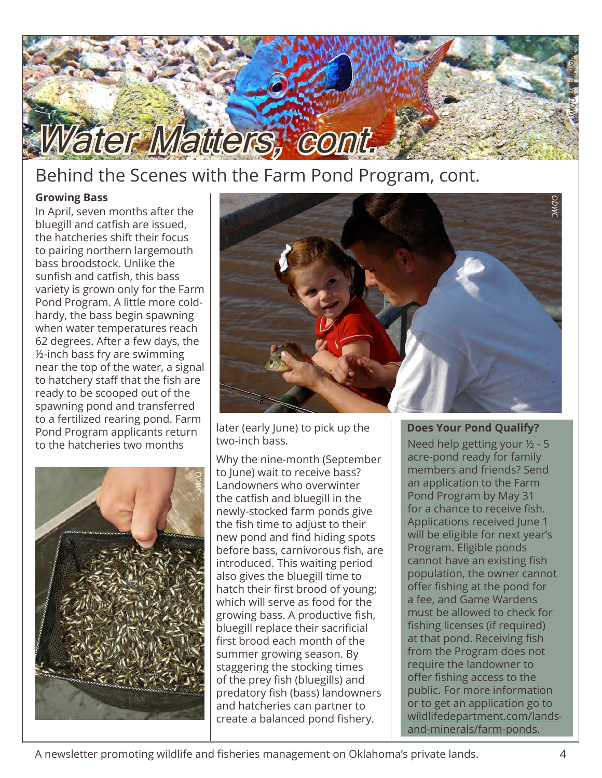

## Behind the Scenes with the Farm Pond Program, cont.

## **Growing Bass**

In April, seven months after the bluegill and catfish are issued, the hatcheries shift their focus to pairing northern largemouth bass broodstock. Unlike the sunfish and catfish, this bass variety is grown only for the Farm Pond Program. A little more coldhardy, the bass begin spawning when water temperatures reach 62 degrees. After a few days, the ½-inch bass fry are swimming near the top of the water, a signal to hatchery staff that the fish are ready to be scooped out of the spawning pond and transferred to a fertilized rearing pond. Farm Pond Program applicants return to the hatcheries two months



later (early June) to pick up the two-inch bass.



Why the nine-month (September to June) wait to receive bass? Landowners who overwinter the catfish and bluegill in the newly-stocked farm ponds give the fish time to adjust to their new pond and find hiding spots before bass, carnivorous fish, are introduced. This waiting period also gives the bluegill time to hatch their first brood of young; which will serve as food for the growing bass. A productive fish, bluegill replace their sacrificial first brood each month of the summer growing season. By staggering the stocking times of the prey fish (bluegills) and predatory fish (bass) landowners and hatcheries can partner to create a balanced pond fishery.

## **Does Your Pond Qualify?**

Need help getting your ½ - 5 acre-pond ready for family members and friends? Send an application to the Farm Pond Program by May 31 for a chance to receive fish. Applications received June 1 will be eligible for next year's Program. Eligible ponds cannot have an existing fish population, the owner cannot offer fishing at the pond for a fee, and Game Wardens must be allowed to check for fishing licenses (if required) at that pond. Receiving fish from the Program does not require the landowner to offer fishing access to the public. For more information or to get an application go to [wildlifedepartment.com/lands](http://wildlifedepartment.com/lands-and-minerals/farm-ponds)[and-minerals/farm-ponds.](http://wildlifedepartment.com/lands-and-minerals/farm-ponds)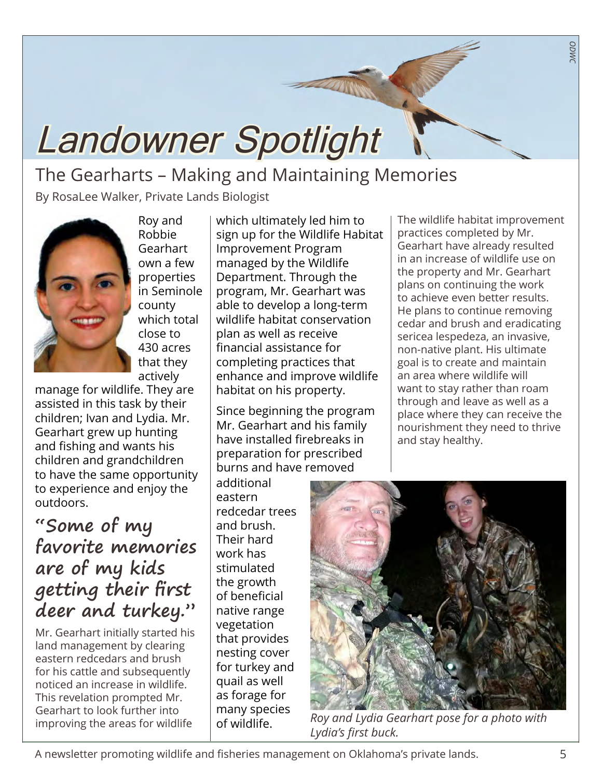# Landowner Spotlight

## The Gearharts – Making and Maintaining Memories

By RosaLee Walker, Private Lands Biologist



Roy and Robbie **Gearhart** own a few properties in Seminole county which total close to 430 acres that they actively

manage for wildlife. They are assisted in this task by their children; Ivan and Lydia. Mr. Gearhart grew up hunting and fishing and wants his children and grandchildren to have the same opportunity to experience and enjoy the outdoors.

## **"Some of my favorite memories are of my kids getting their first deer and turkey."**

Mr. Gearhart initially started his land management by clearing eastern redcedars and brush for his cattle and subsequently noticed an increase in wildlife. This revelation prompted Mr. Gearhart to look further into improving the areas for wildlife

which ultimately led him to sign up for the Wildlife Habitat Improvement Program managed by the Wildlife Department. Through the program, Mr. Gearhart was able to develop a long-term wildlife habitat conservation plan as well as receive financial assistance for completing practices that enhance and improve wildlife habitat on his property.

Since beginning the program Mr. Gearhart and his family have installed firebreaks in preparation for prescribed burns and have removed

additional eastern redcedar trees and brush. Their hard work has stimulated the growth of beneficial native range vegetation that provides nesting cover for turkey and quail as well as forage for many species of wildlife.

The wildlife habitat improvement practices completed by Mr. Gearhart have already resulted in an increase of wildlife use on the property and Mr. Gearhart plans on continuing the work to achieve even better results. He plans to continue removing cedar and brush and eradicating sericea lespedeza, an invasive, non-native plant. His ultimate goal is to create and maintain an area where wildlife will want to stay rather than roam through and leave as well as a place where they can receive the nourishment they need to thrive and stay healthy.

*ODWC*



*Roy and Lydia Gearhart pose for a photo with Lydia's first buck.*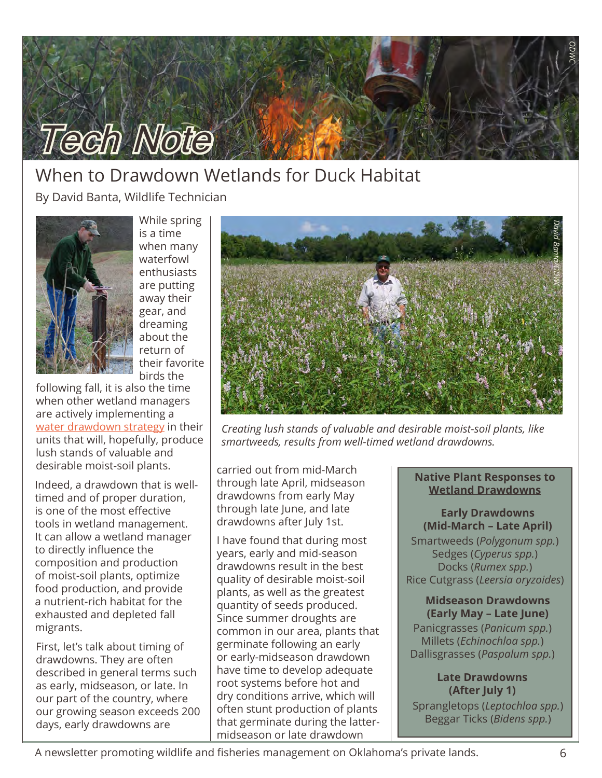

## When to Drawdown Wetlands for Duck Habitat

By David Banta, Wildlife Technician



While spring is a time when many waterfowl enthusiasts are putting away their gear, and dreaming about the return of their favorite birds the

following fall, it is also the time when other wetland managers are actively implementing a [water drawdown strategy](http://www.kestersnursery.com/New_Folder/nrcs142p2_016986.pdf) in their units that will, hopefully, produce lush stands of valuable and desirable moist-soil plants.

Indeed, a drawdown that is welltimed and of proper duration, is one of the most effective tools in wetland management. It can allow a wetland manager to directly influence the composition and production of moist-soil plants, optimize food production, and provide a nutrient-rich habitat for the exhausted and depleted fall migrants.

First, let's talk about timing of drawdowns. They are often described in general terms such as early, midseason, or late. In our part of the country, where our growing season exceeds 200 days, early drawdowns are



*Creating lush stands of valuable and desirable moist-soil plants, like smartweeds, results from well-timed wetland drawdowns.* 

carried out from mid-March through late April, midseason drawdowns from early May through late June, and late drawdowns after July 1st.

I have found that during most years, early and mid-season drawdowns result in the best quality of desirable moist-soil plants, as well as the greatest quantity of seeds produced. Since summer droughts are common in our area, plants that germinate following an early or early-midseason drawdown have time to develop adequate root systems before hot and dry conditions arrive, which will often stunt production of plants that germinate during the lattermidseason or late drawdown

#### **Native Plant Responses to Wetland Drawdowns**

**Early Drawdowns (Mid-March – Late April)**

Smartweeds (*Polygonum spp.*) Sedges (*Cyperus spp.*) Docks (*Rumex spp.*) Rice Cutgrass (*Leersia oryzoides*)

## **Midseason Drawdowns**

**(Early May – Late June)** Panicgrasses (*Panicum spp.*) Millets (*Echinochloa spp.*) Dallisgrasses (*Paspalum spp.*)

## **Late Drawdowns (After July 1)**

Sprangletops (*Leptochloa spp.*) Beggar Ticks (*Bidens spp.*)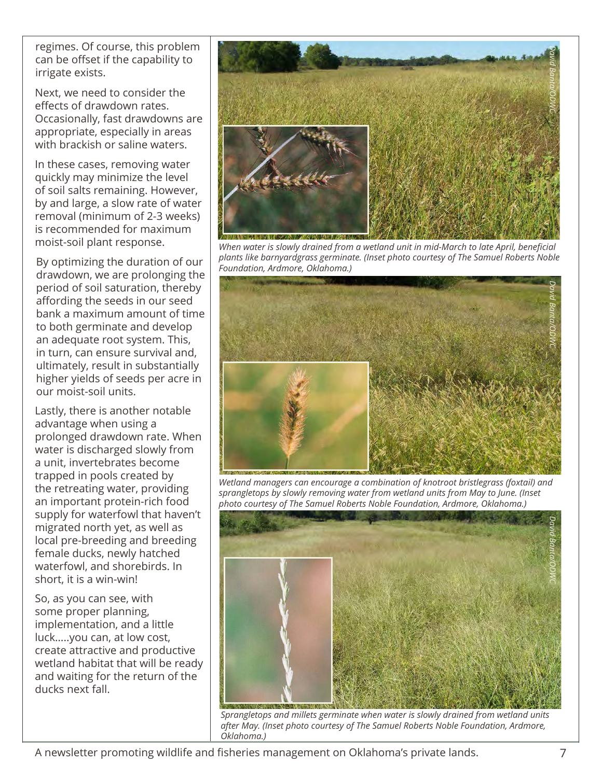regimes. Of course, this problem can be offset if the capability to irrigate exists.

Next, we need to consider the effects of drawdown rates. Occasionally, fast drawdowns are appropriate, especially in areas with brackish or saline waters.

In these cases, removing water quickly may minimize the level of soil salts remaining. However, by and large, a slow rate of water removal (minimum of 2-3 weeks) is recommended for maximum moist-soil plant response.

By optimizing the duration of our drawdown, we are prolonging the period of soil saturation, thereby affording the seeds in our seed bank a maximum amount of time to both germinate and develop an adequate root system. This, in turn, can ensure survival and, ultimately, result in substantially higher yields of seeds per acre in our moist-soil units.

Lastly, there is another notable advantage when using a prolonged drawdown rate. When water is discharged slowly from a unit, invertebrates become trapped in pools created by the retreating water, providing an important protein-rich food supply for waterfowl that haven't migrated north yet, as well as local pre-breeding and breeding female ducks, newly hatched waterfowl, and shorebirds. In short, it is a win-win!

So, as you can see, with some proper planning, implementation, and a little luck…..you can, at low cost, create attractive and productive wetland habitat that will be ready and waiting for the return of the ducks next fall.



*When water is slowly drained from a wetland unit in mid-March to late April, beneficial plants like barnyardgrass germinate. (Inset photo courtesy of The Samuel Roberts Noble Foundation, Ardmore, Oklahoma.)*



*Wetland managers can encourage a combination of knotroot bristlegrass (foxtail) and sprangletops by slowly removing water from wetland units from May to June. (Inset photo courtesy of The Samuel Roberts Noble Foundation, Ardmore, Oklahoma.)*



*Sprangletops and millets germinate when water is slowly drained from wetland units after May. (Inset photo courtesy of The Samuel Roberts Noble Foundation, Ardmore, Oklahoma.)*